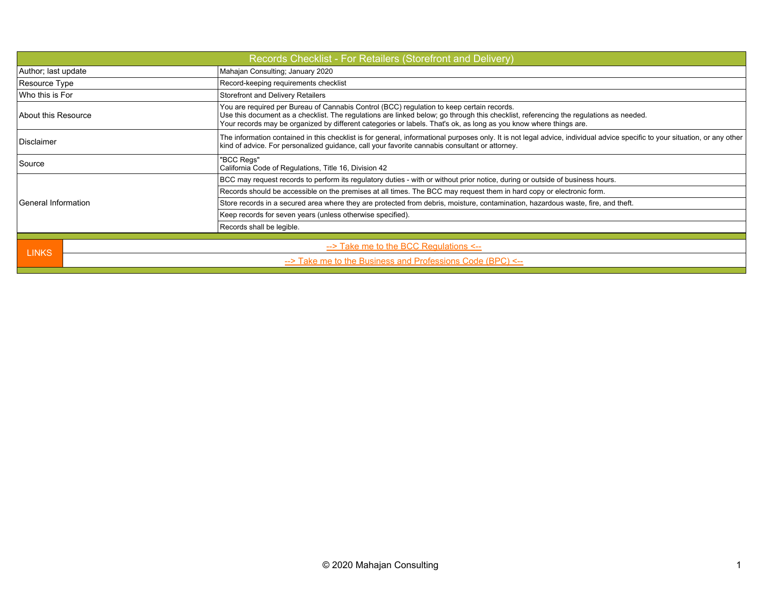| Records Checklist - For Retailers (Storefront and Delivery) |                                                                                                                                                                                                                                                                                                                                                         |  |  |  |  |  |
|-------------------------------------------------------------|---------------------------------------------------------------------------------------------------------------------------------------------------------------------------------------------------------------------------------------------------------------------------------------------------------------------------------------------------------|--|--|--|--|--|
| Author; last update                                         | Mahajan Consulting; January 2020                                                                                                                                                                                                                                                                                                                        |  |  |  |  |  |
| Resource Type                                               | Record-keeping requirements checklist                                                                                                                                                                                                                                                                                                                   |  |  |  |  |  |
| lWho this is For                                            | Storefront and Delivery Retailers                                                                                                                                                                                                                                                                                                                       |  |  |  |  |  |
| About this Resource                                         | You are required per Bureau of Cannabis Control (BCC) regulation to keep certain records.<br>Use this document as a checklist. The regulations are linked below; go through this checklist, referencing the regulations as needed.<br>Your records may be organized by different categories or labels. That's ok, as long as you know where things are. |  |  |  |  |  |
| Disclaimer                                                  | The information contained in this checklist is for general, informational purposes only. It is not legal advice, individual advice specific to your situation, or any other<br>kind of advice. For personalized guidance, call your favorite cannabis consultant or attorney.                                                                           |  |  |  |  |  |
| Source                                                      | "BCC Regs"<br>California Code of Regulations, Title 16, Division 42                                                                                                                                                                                                                                                                                     |  |  |  |  |  |
|                                                             | BCC may request records to perform its regulatory duties - with or without prior notice, during or outside of business hours.                                                                                                                                                                                                                           |  |  |  |  |  |
|                                                             | Records should be accessible on the premises at all times. The BCC may request them in hard copy or electronic form.                                                                                                                                                                                                                                    |  |  |  |  |  |
| General Information                                         | Store records in a secured area where they are protected from debris, moisture, contamination, hazardous waste, fire, and theft.                                                                                                                                                                                                                        |  |  |  |  |  |
|                                                             | Keep records for seven years (unless otherwise specified).                                                                                                                                                                                                                                                                                              |  |  |  |  |  |
|                                                             | Records shall be legible.                                                                                                                                                                                                                                                                                                                               |  |  |  |  |  |
|                                                             |                                                                                                                                                                                                                                                                                                                                                         |  |  |  |  |  |
| <b>LINKS</b>                                                | --> Take me to the BCC Regulations <--                                                                                                                                                                                                                                                                                                                  |  |  |  |  |  |
|                                                             | --> Take me to the Business and Professions Code (BPC) <--                                                                                                                                                                                                                                                                                              |  |  |  |  |  |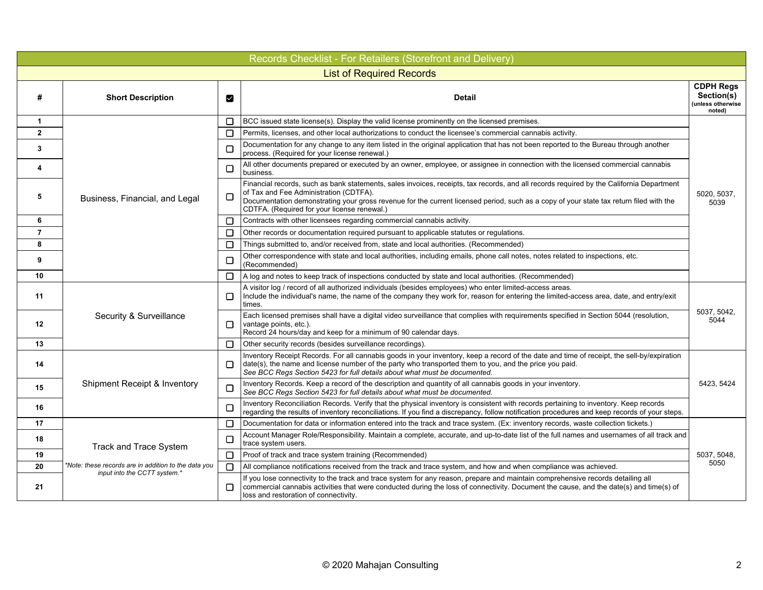|                                 | Records Checklist - For Retailers (Storefront and Delivery)                                                           |                |                                                                                                                                                                                                                                                                                                                                                                             |                                                               |  |  |  |  |
|---------------------------------|-----------------------------------------------------------------------------------------------------------------------|----------------|-----------------------------------------------------------------------------------------------------------------------------------------------------------------------------------------------------------------------------------------------------------------------------------------------------------------------------------------------------------------------------|---------------------------------------------------------------|--|--|--|--|
| <b>List of Required Records</b> |                                                                                                                       |                |                                                                                                                                                                                                                                                                                                                                                                             |                                                               |  |  |  |  |
| #                               | <b>Short Description</b>                                                                                              | $\blacksquare$ | <b>Detail</b>                                                                                                                                                                                                                                                                                                                                                               | <b>CDPH Regs</b><br>Section(s)<br>(unless otherwise<br>noted) |  |  |  |  |
| $\mathbf{1}$                    |                                                                                                                       | □              | BCC issued state license(s). Display the valid license prominently on the licensed premises.                                                                                                                                                                                                                                                                                |                                                               |  |  |  |  |
| $\overline{2}$                  |                                                                                                                       | $\Box$         | Permits, licenses, and other local authorizations to conduct the licensee's commercial cannabis activity.                                                                                                                                                                                                                                                                   |                                                               |  |  |  |  |
| 3                               | Business, Financial, and Legal                                                                                        | $\Box$         | Documentation for any change to any item listed in the original application that has not been reported to the Bureau through another<br>process. (Required for your license renewal.)                                                                                                                                                                                       |                                                               |  |  |  |  |
| $\overline{\mathbf{4}}$         |                                                                                                                       | $\Box$         | All other documents prepared or executed by an owner, employee, or assignee in connection with the licensed commercial cannabis<br>business.                                                                                                                                                                                                                                |                                                               |  |  |  |  |
| 5                               |                                                                                                                       | □              | Financial records, such as bank statements, sales invoices, receipts, tax records, and all records required by the California Department<br>of Tax and Fee Administration (CDTFA).<br>Documentation demonstrating your gross revenue for the current licensed period, such as a copy of your state tax return filed with the<br>CDTFA. (Required for your license renewal.) | 5020, 5037,<br>5039                                           |  |  |  |  |
| 6                               |                                                                                                                       | □              | Contracts with other licensees regarding commercial cannabis activity.                                                                                                                                                                                                                                                                                                      |                                                               |  |  |  |  |
| $\overline{7}$                  |                                                                                                                       | $\Box$         | Other records or documentation required pursuant to applicable statutes or regulations.                                                                                                                                                                                                                                                                                     |                                                               |  |  |  |  |
| 8                               |                                                                                                                       | $\Box$         | Things submitted to, and/or received from, state and local authorities. (Recommended)                                                                                                                                                                                                                                                                                       |                                                               |  |  |  |  |
| 9                               |                                                                                                                       | C              | Other correspondence with state and local authorities, including emails, phone call notes, notes related to inspections, etc.<br>(Recommended)                                                                                                                                                                                                                              |                                                               |  |  |  |  |
| 10                              |                                                                                                                       | $\Box$         | A log and notes to keep track of inspections conducted by state and local authorities. (Recommended)                                                                                                                                                                                                                                                                        |                                                               |  |  |  |  |
| 11                              | Security & Surveillance                                                                                               | $\Box$         | A visitor log / record of all authorized individuals (besides employees) who enter limited-access areas.<br>Include the individual's name, the name of the company they work for, reason for entering the limited-access area, date, and entry/exit<br>times.                                                                                                               |                                                               |  |  |  |  |
| 12 <sup>12</sup>                |                                                                                                                       | □              | Each licensed premises shall have a digital video surveillance that complies with requirements specified in Section 5044 (resolution,<br>vantage points, etc.).<br>Record 24 hours/day and keep for a minimum of 90 calendar days.                                                                                                                                          | 5037, 5042,<br>5044                                           |  |  |  |  |
| 13                              |                                                                                                                       | □              | Other security records (besides surveillance recordings).                                                                                                                                                                                                                                                                                                                   |                                                               |  |  |  |  |
| 14                              | Shipment Receipt & Inventory                                                                                          | Л              | Inventory Receipt Records. For all cannabis goods in your inventory, keep a record of the date and time of receipt, the sell-by/expiration<br>date(s), the name and license number of the party who transported them to you, and the price you paid.<br>See BCC Regs Section 5423 for full details about what must be documented.                                           |                                                               |  |  |  |  |
| 15                              |                                                                                                                       | $\Box$         | Inventory Records. Keep a record of the description and quantity of all cannabis goods in your inventory.<br>See BCC Regs Section 5423 for full details about what must be documented.                                                                                                                                                                                      | 5423, 5424                                                    |  |  |  |  |
| 16                              |                                                                                                                       | □              | Inventory Reconciliation Records. Verify that the physical inventory is consistent with records pertaining to inventory. Keep records<br>regarding the results of inventory reconciliations. If you find a discrepancy, follow notification procedures and keep records of your steps.                                                                                      |                                                               |  |  |  |  |
| 17                              |                                                                                                                       | $\Box$         | Documentation for data or information entered into the track and trace system. (Ex: inventory records, waste collection tickets.)                                                                                                                                                                                                                                           |                                                               |  |  |  |  |
| 18                              | <b>Track and Trace System</b><br>*Note: these records are in addition to the data you<br>input into the CCTT system.* | $\Box$         | Account Manager Role/Responsibility. Maintain a complete, accurate, and up-to-date list of the full names and usernames of all track and<br>trace system users.                                                                                                                                                                                                             |                                                               |  |  |  |  |
| 19                              |                                                                                                                       | n              | Proof of track and trace system training (Recommended)                                                                                                                                                                                                                                                                                                                      | 5037, 5048,                                                   |  |  |  |  |
| 20                              |                                                                                                                       | $\Box$         | All compliance notifications received from the track and trace system, and how and when compliance was achieved.                                                                                                                                                                                                                                                            | 5050                                                          |  |  |  |  |
| 21                              |                                                                                                                       | □              | If you lose connectivity to the track and trace system for any reason, prepare and maintain comprehensive records detailing all<br>commercial cannabis activities that were conducted during the loss of connectivity. Document the cause, and the date(s) and time(s) of<br>loss and restoration of connectivity.                                                          |                                                               |  |  |  |  |